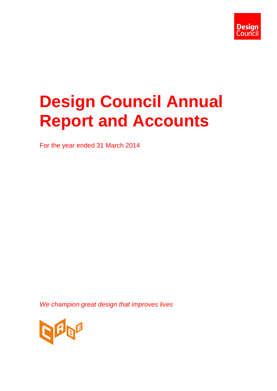

# **Design Council Annual Report and Accounts**

For the year ended 31 March 2014

*We champion great design that improves lives*

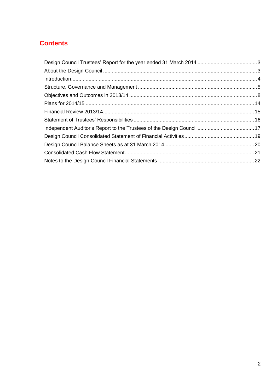### **Contents**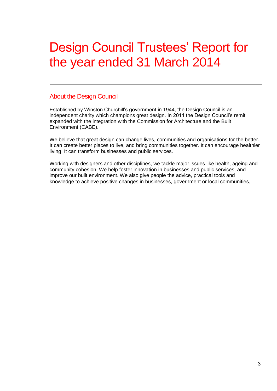## <span id="page-2-0"></span>Design Council Trustees' Report for the year ended 31 March 2014

### <span id="page-2-1"></span>About the Design Council

Established by Winston Churchill's government in 1944, the Design Council is an independent charity which champions great design. In 2011 the Design Council's remit expanded with the integration with the Commission for Architecture and the Built Environment (CABE).

We believe that great design can change lives, communities and organisations for the better. It can create better places to live, and bring communities together. It can encourage healthier living. It can transform businesses and public services.

Working with designers and other disciplines, we tackle major issues like health, ageing and community cohesion. We help foster innovation in businesses and public services, and improve our built environment. We also give people the advice, practical tools and knowledge to achieve positive changes in businesses, government or local communities.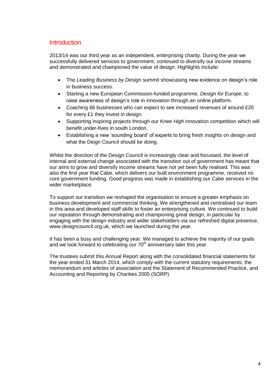### <span id="page-3-0"></span>**Introduction**

2013/14 was our third year as an independent, enterprising charity. During the year we successfully delivered services to government, continued to diversify our income streams and demonstrated and championed the value of design. Highlights include:

- The *Leading Business by Design* summit showcasing new evidence on design's role in business success.
- Starting a new European Commission-funded programme, *Design for Europe*, to raise awareness of design's role in innovation through an online platform.
- Coaching 66 businesses who can expect to see increased revenues of around £20 for every £1 they invest in design.
- Supporting inspiring projects through our *Knee High* innovation competition which will benefit under-fives in south London.
- Establishing a new 'sounding board' of experts to bring fresh insights on design and what the Deign Council should be doing.

Whilst the direction of the Design Council is increasingly clear and focussed, the level of internal and external change associated with the transition out of government has meant that our aims to grow and diversify income streams have not yet been fully realised. This was also the first year that Cabe, which delivers our built environment programme, received no core government funding. Good progress was made in establishing our Cabe services in the wider marketplace.

To support our transition we reshaped the organisation to ensure a greater emphasis on business development and commercial thinking. We strengthened and centralised our team in this area and developed staff skills to foster an enterprising culture. We continued to build our reputation through demonstrating and championing great design, in particular by engaging with the design industry and wider stakeholders via our refreshed digital presence, www.designcouncil.org.uk, which we launched during the year.

It has been a busy and challenging year. We managed to achieve the majority of our goals and we look forward to celebrating our  $70<sup>th</sup>$  anniversary later this year.

The trustees submit this Annual Report along with the consolidated financial statements for the year ended 31 March 2014, which comply with the current statutory requirements, the memorandum and articles of association and the Statement of Recommended Practice, and Accounting and Reporting by Charities 2005 (SORP).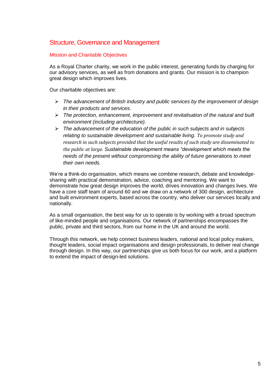### <span id="page-4-0"></span>Structure, Governance and Management

### Mission and Charitable Objectives

As a Royal Charter charity, we work in the public interest, generating funds by charging for our advisory services, as well as from donations and grants. Our mission is to champion great design which improves lives.

Our charitable objectives are:

- *The advancement of British industry and public services by the improvement of design in their products and services.*
- *The protection, enhancement, improvement and revitalisation of the natural and built environment (including architecture).*
- *The advancement of the education of the public in such subjects and in subjects relating to sustainable development and sustainable living. To promote study and research in such subjects provided that the useful results of such study are disseminated to the public at large. Sustainable development means "development which meets the needs of the present without compromising the ability of future generations to meet their own needs.*

We're a think-do organisation, which means we combine research, debate and knowledgesharing with practical demonstration, advice, coaching and mentoring. We want to demonstrate how great design improves the world, drives innovation and changes lives. We have a core staff team of around 60 and we draw on a network of 300 design, architecture and built environment experts, based across the country, who deliver our services locally and nationally.

As a small organisation, the best way for us to operate is by working with a broad spectrum of like-minded people and organisations. Our network of partnerships encompasses the public, private and third sectors, from our home in the UK and around the world.

Through this network, we help connect business leaders, national and local policy makers, thought leaders, social impact organisations and design professionals, to deliver real change through design. In this way, our partnerships give us both focus for our work, and a platform to extend the impact of design-led solutions.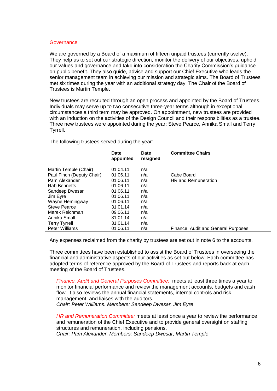#### **Governance**

We are governed by a Board of a maximum of fifteen unpaid trustees (currently twelve). They help us to set out our strategic direction, monitor the delivery of our objectives, uphold our values and governance and take into consideration the Charity Commission's guidance on public benefit. They also guide, advise and support our Chief Executive who leads the senior management team in achieving our mission and strategic aims. The Board of Trustees met six times during the year with an additional strategy day. The Chair of the Board of Trustees is Martin Temple.

New trustees are recruited through an open process and appointed by the Board of Trustees. Individuals may serve up to two consecutive three-year terms although in exceptional circumstances a third term may be approved. On appointment, new trustees are provided with an induction on the activities of the Design Council and their responsibilities as a trustee. Three new trustees were appointed during the year: Steve Pearce, Annika Small and Terry Tyrrell.

The following trustees served during the year:

|                           | Date<br>appointed | Date<br>resigned | <b>Committee Chairs</b>             |
|---------------------------|-------------------|------------------|-------------------------------------|
| Martin Temple (Chair)     | 01.04.11          | n/a              |                                     |
| Paul Finch (Deputy Chair) | 01.06.11          | n/a              | Cabe Board                          |
| Pam Alexander             | 01.06.11          | n/a              | <b>HR</b> and Remuneration          |
| Rab Bennetts              | 01.06.11          | n/a              |                                     |
| Sandeep Dwesar            | 01.06.11          | n/a              |                                     |
| Jim Eyre                  | 01.06.11          | n/a              |                                     |
| Wayne Hemingway           | 01.06.11          | n/a              |                                     |
| <b>Steve Pearce</b>       | 31.01.14          | n/a              |                                     |
| Marek Reichman            | 09.06.11          | n/a              |                                     |
| Annika Small              | 31.01.14          | n/a              |                                     |
| <b>Terry Tyrrell</b>      | 31.01.14          | n/a              |                                     |
| <b>Peter Williams</b>     | 01.06.11          | n/a              | Finance, Audit and General Purposes |

Any expenses reclaimed from the charity by trustees are set out in note 6 to the accounts.

Three committees have been established to assist the Board of Trustees in overseeing the financial and administrative aspects of our activities as set out below. Each committee has adopted terms of reference approved by the Board of Trustees and reports back at each meeting of the Board of Trustees.

*Finance, Audit and General Purposes Committee:* meets at least three times a year to monitor financial performance and review the management accounts, budgets and cash flow. It also reviews the annual financial statements, internal controls and risk management, and liaises with the auditors. *Chair: Peter Williams. Members: Sandeep Dwesar, Jim Eyre*

*HR and Remuneration Committee:* meets at least once a year to review the performance and remuneration of the Chief Executive and to provide general oversight on staffing structures and remuneration, including pensions. *Chair: Pam Alexander. Members: Sandeep Dwesar, Martin Temple*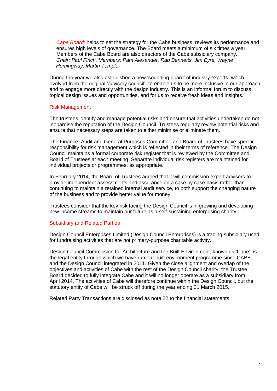*Cabe Board:* helps to set the strategy for the Cabe business, reviews its performance and ensures high levels of governance*.* The Board meets a minimum of six times a year. Members of the Cabe Board are also directors of the Cabe subsidiary company. *Chair: Paul Finch. Members: Pam Alexander, Rab Bennetts, Jim Eyre, Wayne Hemingway, Martin Temple.*

During the year we also established a new 'sounding board' of industry experts, which evolved from the original 'advisory council', to enable us to be more inclusive in our approach and to engage more directly with the design industry. This is an informal forum to discuss topical design issues and opportunities, and for us to receive fresh ideas and insights.

#### Risk Management

The trustees identify and manage potential risks and ensure that activities undertaken do not jeopardise the reputation of the Design Council. Trustees regularly review potential risks and ensure that necessary steps are taken to either minimise or eliminate them.

The Finance, Audit and General Purposes Committee and Board of Trustees have specific responsibility for risk management which is reflected in their terms of reference. The Design Council maintains a formal corporate risk register that is reviewed by the Committee and Board of Trustees at each meeting. Separate individual risk registers are maintained for individual projects or programmes, as appropriate.

In February 2014, the Board of Trustees agreed that it will commission expert advisers to provide independent assessments and assurance on a case by case basis rather than continuing to maintain a retained internal audit service, to both support the changing nature of the business and to provide better value for money.

Trustees consider that the key risk facing the Design Council is in growing and developing new income streams to maintain our future as a self-sustaining enterprising charity.

### Subsidiary and Related Parties

Design Council Enterprises Limited (Design Council Enterprises) is a trading subsidiary used for fundraising activities that are not primary-purpose charitable activity.

Design Council Commission for Architecture and the Built Environment, known as 'Cabe', is the legal entity through which we have run our built environment programme since CABE and the Design Council integrated in 2011. Given the close alignment and overlap of the objectives and activities of Cabe with the rest of the Design Council charity, the Trustee Board decided to fully integrate Cabe and it will no longer operate as a subsidiary from 1 April 2014. The activities of Cabe will therefore continue within the Design Council, but the statutory entity of Cabe will be struck off during the year ending 31 March 2015.

Related Party Transactions are disclosed as note 22 to the financial statements.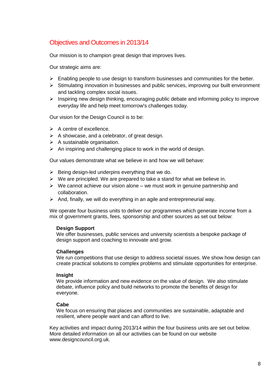### <span id="page-7-0"></span>Objectives and Outcomes in 2013/14

Our mission is to champion great design that improves lives.

Our strategic aims are:

- $\triangleright$  Enabling people to use design to transform businesses and communities for the better.
- $\triangleright$  Stimulating innovation in businesses and public services, improving our built environment and tackling complex social issues.
- $\triangleright$  Inspiring new design thinking, encouraging public debate and informing policy to improve everyday life and help meet tomorrow's challenges today.

Our vision for the Design Council is to be:

- $\triangleright$  A centre of excellence.
- $\triangleright$  A showcase, and a celebrator, of great design.
- $\triangleright$  A sustainable organisation.
- $\triangleright$  An inspiring and challenging place to work in the world of design.

Our values demonstrate what we believe in and how we will behave:

- $\triangleright$  Being design-led underpins everything that we do.
- $\triangleright$  We are principled. We are prepared to take a stand for what we believe in.
- $\triangleright$  We cannot achieve our vision alone we must work in genuine partnership and collaboration.
- $\triangleright$  And, finally, we will do everything in an agile and entrepreneurial way.

We operate four business units to deliver our programmes which generate income from a mix of government grants, fees, sponsorship and other sources as set out below:

### **Design Support**

We offer businesses, public services and university scientists a bespoke package of design support and coaching to innovate and grow.

### **Challenges**

We run competitions that use design to address societal issues. We show how design can create practical solutions to complex problems and stimulate opportunities for enterprise.

### **Insight**

We provide information and new evidence on the value of design. We also stimulate debate, influence policy and build networks to promote the benefits of design for everyone.

### **Cabe**

We focus on ensuring that places and communities are sustainable, adaptable and resilient, where people want and can afford to live.

Key activities and impact during 2013/14 within the four business units are set out below. More detailed information on all our activities can be found on our website www.designcouncil.org.uk.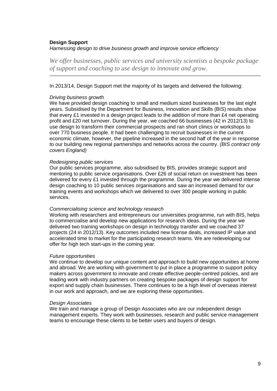### **Design Support** *Harnessing design to drive business growth and improve service efficiency*

*We offer businesses, public services and university scientists a bespoke package of support and coaching to use design to innovate and grow.*

### In 2013/14, Design Support met the majority of its targets and delivered the following:

### *Driving business growth*

We have provided design coaching to small and medium sized businesses for the last eight years. Subsidised by the Department for Business, Innovation and Skills (BIS) results show that every £1 invested in a design project leads to the addition of more than £4 net operating profit and £20 net turnover. During the year, we coached 66 businesses (42 in 2012/13) to use design to transform their commercial prospects and ran short clinics or workshops to over 770 business people. It had been challenging to recruit businesses in the current economic climate, however, the pipeline increased in the second half of the year in response to our building new regional partnerships and networks across the country. *(BIS contract only covers England)*

### *Redesigning public services*

Our public services programme, also subsidised by BIS, provides strategic support and mentoring to public service organisations. Over £26 of social return on investment has been delivered for every £1 invested through the programme. During the year we delivered intense design coaching to 10 public services organisations and saw an increased demand for our training events and workshops which we delivered to over 300 people working in public services.

#### *Commercialising science and technology research*

Working with researchers and entrepreneurs our universities programme, run with BIS, helps to commercialise and develop new applications for research ideas. During the year we delivered two training workshops on design in technology transfer and we coached 37 projects (24 in 2012/13). Key outcomes included new license deals, increased IP value and accelerated time to market for the participating research teams. We are redeveloping our offer for high tech start-ups in the coming year.

### *Future opportunities*

We continue to develop our unique content and approach to build new opportunities at home and abroad. We are working with government to put in place a programme to support policy makers across government to innovate and create effective people-centred policies, and are leading work with industry partners on creating bespoke packages of design support for export and supply chain businesses. There continues to be a high level of overseas interest in our work and approach, and we are exploring these opportunities.

#### *Design Associates*

We train and manage a group of Design Associates who are our independent design management experts. They work with businesses, research and public service management teams to encourage these clients to be better users and buyers of design.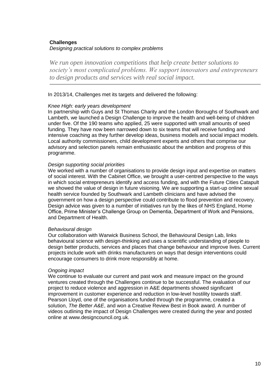### **Challenges** *Designing practical solutions to complex problems*

*We run open innovation competitions that help create better solutions to society's most complicated problems. We support innovators and entrepreneurs to design products and services with real social impact.*

### In 2013/14, Challenges met its targets and delivered the following:

### *Knee High: early years development*

In partnership with Guys and St Thomas Charity and the London Boroughs of Southwark and Lambeth, we launched a Design Challenge to improve the health and well-being of children under five. Of the 190 teams who applied, 25 were supported with small amounts of seed funding. They have now been narrowed down to six teams that will receive funding and intensive coaching as they further develop ideas, business models and social impact models. Local authority commissioners, child development experts and others that comprise our advisory and selection panels remain enthusiastic about the ambition and progress of this programme.

### *Design supporting social priorities*

We worked with a number of organisations to provide design input and expertise on matters of social interest. With the Cabinet Office, we brought a user-centred perspective to the ways in which social entrepreneurs identify and access funding, and with the Future Cities Catapult we showed the value of design in future visioning. We are supporting a start-up online sexual health service founded by Southwark and Lambeth clinicians and have advised the government on how a design perspective could contribute to flood prevention and recovery. Design advice was given to a number of initiatives run by the likes of NHS England, Home Office, Prime Minister's Challenge Group on Dementia, Department of Work and Pensions, and Department of Health.

#### *Behavioural design*

Our collaboration with Warwick Business School, the Behavioural Design Lab, links behavioural science with design-thinking and uses a scientific understanding of people to design better products, services and places that change behaviour and improve lives. Current projects include work with drinks manufacturers on ways that design interventions could encourage consumers to drink more responsibly at home.

### *Ongoing impact*

We continue to evaluate our current and past work and measure impact on the ground ventures created through the Challenges continue to be successful. The evaluation of our project to reduce violence and aggression in A&E departments showed significant improvement in customer experience and reduction in low-level hostility towards staff. Pearson Lloyd, one of the organisations funded through the programme, created a solution, *The Better A&E*, and won a Creative Review Best in Book award. A number of videos outlining the impact of Design Challenges were created during the year and posted online at www.designcouncil.org.uk.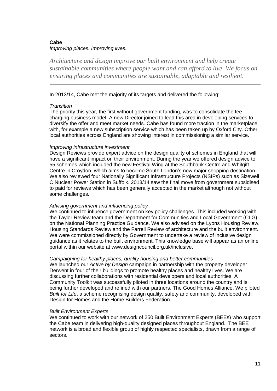### **Cabe** *Improving places. Improving lives.*

*Architecture and design improve our built environment and help create sustainable communities where people want and can afford to live. We focus on ensuring places and communities are sustainable, adaptable and resilient.*

### In 2013/14, Cabe met the majority of its targets and delivered the following:

### *Transition*

The priority this year, the first without government funding, was to consolidate the feecharging business model. A new Director joined to lead this area in developing services to diversify the offer and meet market needs. Cabe has found more traction in the marketplace with, for example a new subscription service which has been taken up by Oxford City. Other local authorities across England are showing interest in commissioning a similar service.

### *Improving infrastructure investment*

Design Reviews provide expert advice on the design quality of schemes in England that will have a significant impact on their environment. During the year we offered design advice to 55 schemes which included the new Festival Wing at the Southbank Centre and Whitgift Centre in Croydon, which aims to become South London's new major shopping destination. We also reviewed four Nationally Significant Infrastructure Projects (NSIPs) such as Sizewell C Nuclear Power Station in Suffolk. 2013/14 saw the final move from government subsidised to paid for reviews which has been generally accepted in the market although not without some challenges.

#### *Advising government and influencing policy*

We continued to influence government on key policy challenges. This included working with the Taylor Review team and the Department for Communities and Local Government (CLG) on the National Planning Practice Guidance. We also advised on the Lyons Housing Review, Housing Standards Review and the Farrell Review of architecture and the built environment. We were commissioned directly by Government to undertake a review of inclusive design guidance as it relates to the built environment. This knowledge base will appear as an online portal within our website at www.designcouncil.org.uk/inclusive.

#### *Campaigning for healthy places, quality housing and better communities*

We launched our *Active by Design* campaign in partnership with the property developer Derwent in four of their buildings to promote healthy places and healthy lives. We are discussing further collaborations with residential developers and local authorities. A Community Toolkit was successfully piloted in three locations around the country and is being further developed and refined with our partners, The Good Homes Alliance. We piloted *Built for Life*, a scheme recognising design quality, safety and community, developed with Design for Homes and the Home Builders Federation.

#### *Built Environment Experts*

We continued to work with our network of 250 Built Environment Experts (BEEs) who support the Cabe team in delivering high-quality designed places throughout England. The BEE network is a broad and flexible group of highly respected specialists, drawn from a range of sectors.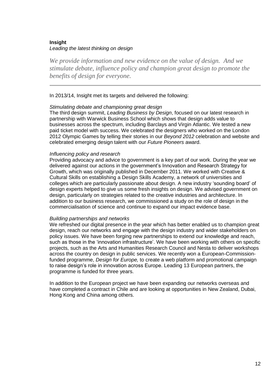### **Insight** *Leading the latest thinking on design*

*We provide information and new evidence on the value of design. And we stimulate debate, influence policy and champion great design to promote the benefits of design for everyone.*

### In 2013/14, Insight met its targets and delivered the following:

### *Stimulating debate and championing great design*

The third design summit, *Leading Business by Design*, focused on our latest research in partnership with Warwick Business School which shows that design adds value to businesses across the spectrum, including Barclays and Virgin Atlantic. We tested a new paid ticket model with success. We celebrated the designers who worked on the London 2012 Olympic Games by telling their stories in our *Beyond 2012* celebration and website and celebrated emerging design talent with our *Future Pioneers* award.

### *Influencing policy and research*

Providing advocacy and advice to government is a key part of our work. During the year we delivered against our actions in the government's Innovation and Research Strategy for Growth, which was originally published in December 2011. We worked with Creative & Cultural Skills on establishing a Design Skills Academy, a network of universities and colleges which are particularly passionate about design. A new industry 'sounding board' of design experts helped to give us some fresh insights on design. We advised government on design, particularly on strategies related to the creative industries and architecture. In addition to our business research, we commissioned a study on the role of design in the commercialisation of science and continue to expand our impact evidence base.

#### *Building partnerships and networks*

We refreshed our digital presence in the year which has better enabled us to champion great design, reach our networks and engage with the design industry and wider stakeholders on policy issues. We have been forging new partnerships to extend our knowledge and reach, such as those in the 'innovation infrastructure'. We have been working with others on specific projects, such as the Arts and Humanities Research Council and Nesta to deliver workshops across the country on design in public services. We recently won a European-Commissionfunded programme, *Design for Europe,* to create a web platform and promotional campaign to raise design's role in innovation across Europe. Leading 13 European partners, the programme is funded for three years.

In addition to the European project we have been expanding our networks overseas and have completed a contract in Chile and are looking at opportunities in New Zealand, Dubai, Hong Kong and China among others.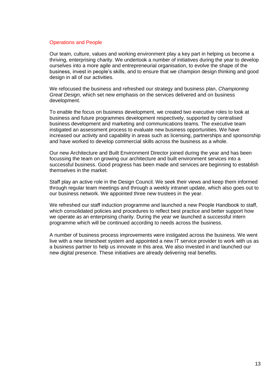#### Operations and People

Our team, culture, values and working environment play a key part in helping us become a thriving, enterprising charity. We undertook a number of initiatives during the year to develop ourselves into a more agile and entrepreneurial organisation, to evolve the shape of the business, invest in people's skills, and to ensure that we champion design thinking and good design in all of our activities.

We refocused the business and refreshed our strategy and business plan, *Championing Great Design,* which set new emphasis on the services delivered and on business development.

To enable the focus on business development, we created two executive roles to look at business and future programmes development respectively, supported by centralised business development and marketing and communications teams. The executive team instigated an assessment process to evaluate new business opportunities. We have increased our activity and capability in areas such as licensing, partnerships and sponsorship and have worked to develop commercial skills across the business as a whole.

Our new Architecture and Built Environment Director joined during the year and has been focussing the team on growing our architecture and built environment services into a successful business. Good progress has been made and services are beginning to establish themselves in the market.

Staff play an active role in the Design Council. We seek their views and keep them informed through regular team meetings and through a weekly intranet update, which also goes out to our business network. We appointed three new trustees in the year.

We refreshed our staff induction programme and launched a new People Handbook to staff, which consolidated policies and procedures to reflect best practice and better support how we operate as an enterprising charity. During the year we launched a successful intern programme which will be continued according to needs across the business.

A number of business process improvements were instigated across the business. We went live with a new timesheet system and appointed a new IT service provider to work with us as a business partner to help us innovate in this area. We also invested in and launched our new digital presence. These initiatives are already delivering real benefits.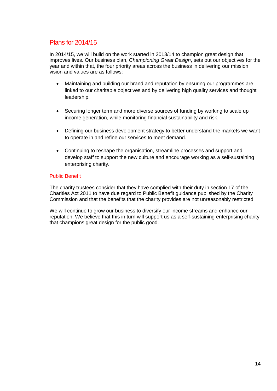### <span id="page-13-0"></span>Plans for 2014/15

In 2014/15, we will build on the work started in 2013/14 to champion great design that improves lives. Our business plan, *Championing Great Design*, sets out our objectives for the year and within that, the four priority areas across the business in delivering our mission, vision and values are as follows:

- Maintaining and building our brand and reputation by ensuring our programmes are linked to our charitable objectives and by delivering high quality services and thought leadership.
- Securing longer term and more diverse sources of funding by working to scale up income generation, while monitoring financial sustainability and risk.
- Defining our business development strategy to better understand the markets we want to operate in and refine our services to meet demand.
- Continuing to reshape the organisation, streamline processes and support and develop staff to support the new culture and encourage working as a self-sustaining enterprising charity.

### Public Benefit

The charity trustees consider that they have complied with their duty in section 17 of the Charities Act 2011 to have due regard to Public Benefit guidance published by the Charity Commission and that the benefits that the charity provides are not unreasonably restricted.

We will continue to grow our business to diversify our income streams and enhance our reputation. We believe that this in turn will support us as a self-sustaining enterprising charity that champions great design for the public good.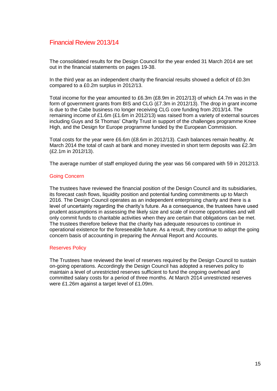### <span id="page-14-0"></span>Financial Review 2013/14

The consolidated results for the Design Council for the year ended 31 March 2014 are set out in the financial statements on pages 19-38.

In the third year as an independent charity the financial results showed a deficit of £0.3m compared to a £0.2m surplus in 2012/13.

Total income for the year amounted to £6.3m (£8.9m in 2012/13) of which £4.7m was in the form of government grants from BIS and CLG (£7.3m in 2012/13). The drop in grant income is due to the Cabe business no longer receiving CLG core funding from 2013/14. The remaining income of £1.6m (£1.6m in 2012/13) was raised from a variety of external sources including Guys and St Thomas' Charity Trust in support of the challenges programme Knee High, and the Design for Europe programme funded by the European Commission.

Total costs for the year were £6.6m (£8.6m in 2012/13). Cash balances remain healthy. At March 2014 the total of cash at bank and money invested in short term deposits was £2.3m (£2.1m in 2012/13).

The average number of staff employed during the year was 56 compared with 59 in 2012/13.

### Going Concern

The trustees have reviewed the financial position of the Design Council and its subsidiaries, its forecast cash flows, liquidity position and potential funding commitments up to March 2016. The Design Council operates as an independent enterprising charity and there is a level of uncertainty regarding the charity's future. As a consequence, the trustees have used prudent assumptions in assessing the likely size and scale of income opportunities and will only commit funds to charitable activities when they are certain that obligations can be met. The trustees therefore believe that the charity has adequate resources to continue in operational existence for the foreseeable future. As a result, they continue to adopt the going concern basis of accounting in preparing the Annual Report and Accounts.

#### Reserves Policy

The Trustees have reviewed the level of reserves required by the Design Council to sustain on-going operations. Accordingly the Design Council has adopted a reserves policy to maintain a level of unrestricted reserves sufficient to fund the ongoing overhead and committed salary costs for a period of three months. At March 2014 unrestricted reserves were £1.26m against a target level of £1.09m.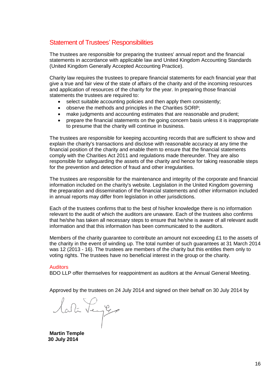### <span id="page-15-0"></span>Statement of Trustees' Responsibilities

The trustees are responsible for preparing the trustees' annual report and the financial statements in accordance with applicable law and United Kingdom Accounting Standards (United Kingdom Generally Accepted Accounting Practice).

Charity law requires the trustees to prepare financial statements for each financial year that give a true and fair view of the state of affairs of the charity and of the incoming resources and application of resources of the charity for the year. In preparing those financial statements the trustees are required to:

- select suitable accounting policies and then apply them consistently;
- observe the methods and principles in the Charities SORP;
- make judgments and accounting estimates that are reasonable and prudent;
- prepare the financial statements on the going concern basis unless it is inappropriate to presume that the charity will continue in business.

The trustees are responsible for keeping accounting records that are sufficient to show and explain the charity's transactions and disclose with reasonable accuracy at any time the financial position of the charity and enable them to ensure that the financial statements comply with the Charities Act 2011 and regulations made thereunder. They are also responsible for safeguarding the assets of the charity and hence for taking reasonable steps for the prevention and detection of fraud and other irregularities.

The trustees are responsible for the maintenance and integrity of the corporate and financial information included on the charity's website. Legislation in the United Kingdom governing the preparation and dissemination of the financial statements and other information included in annual reports may differ from legislation in other jurisdictions.

Each of the trustees confirms that to the best of his/her knowledge there is no information relevant to the audit of which the auditors are unaware. Each of the trustees also confirms that he/she has taken all necessary steps to ensure that he/she is aware of all relevant audit information and that this information has been communicated to the auditors.

Members of the charity guarantee to contribute an amount not exceeding £1 to the assets of the charity in the event of winding up. The total number of such guarantees at 31 March 2014 was 12 (2013 - 16). The trustees are members of the charity but this entitles them only to voting rights. The trustees have no beneficial interest in the group or the charity.

#### **Auditors**

BDO LLP offer themselves for reappointment as auditors at the Annual General Meeting.

Approved by the trustees on 24 July 2014 and signed on their behalf on 30 July 2014 by

lati Leyes

**Martin Temple 30 July 2014**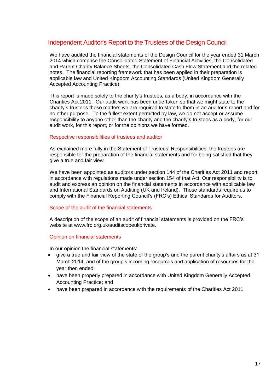### <span id="page-16-0"></span>Independent Auditor's Report to the Trustees of the Design Council

We have audited the financial statements of the Design Council for the year ended 31 March 2014 which comprise the Consolidated Statement of Financial Activities, the Consolidated and Parent Charity Balance Sheets, the Consolidated Cash Flow Statement and the related notes. The financial reporting framework that has been applied in their preparation is applicable law and United Kingdom Accounting Standards (United Kingdom Generally Accepted Accounting Practice).

This report is made solely to the charity's trustees, as a body, in accordance with the Charities Act 2011. Our audit work has been undertaken so that we might state to the charity's trustees those matters we are required to state to them in an auditor's report and for no other purpose. To the fullest extent permitted by law, we do not accept or assume responsibility to anyone other than the charity and the charity's trustees as a body, for our audit work, for this report, or for the opinions we have formed.

### Respective responsibilities of trustees and auditor

As explained more fully in the Statement of Trustees' Responsibilities, the trustees are responsible for the preparation of the financial statements and for being satisfied that they give a true and fair view.

We have been appointed as auditors under section 144 of the Charities Act 2011 and report in accordance with regulations made under section 154 of that Act. Our responsibility is to audit and express an opinion on the financial statements in accordance with applicable law and International Standards on Auditing (UK and Ireland). Those standards require us to comply with the Financial Reporting Council's (FRC's) Ethical Standards for Auditors.

### Scope of the audit of the financial statements

A description of the scope of an audit of financial statements is provided on the FRC's website at [www.frc.org.uk/auditscopeukprivate.](http://www.frc.org.uk/auditscopeukprivate)

### Opinion on financial statements

In our opinion the financial statements:

- give a true and fair view of the state of the group's and the parent charity's affairs as at 31 March 2014, and of the group's incoming resources and application of resources for the year then ended;
- have been properly prepared in accordance with United Kingdom Generally Accepted Accounting Practice; and
- have been prepared in accordance with the requirements of the Charities Act 2011.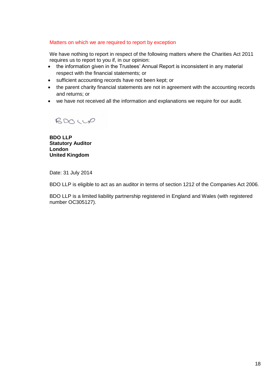### Matters on which we are required to report by exception

We have nothing to report in respect of the following matters where the Charities Act 2011 requires us to report to you if, in our opinion:

- the information given in the Trustees' Annual Report is inconsistent in any material respect with the financial statements; or
- sufficient accounting records have not been kept; or
- the parent charity financial statements are not in agreement with the accounting records and returns; or
- we have not received all the information and explanations we require for our audit.

BDOLLA

**BDO LLP Statutory Auditor London United Kingdom**

Date: 31 July 2014

BDO LLP is eligible to act as an auditor in terms of section 1212 of the Companies Act 2006.

BDO LLP is a limited liability partnership registered in England and Wales (with registered number OC305127).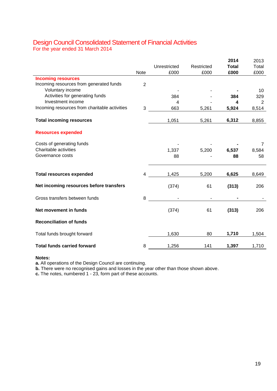### <span id="page-18-0"></span>Design Council Consolidated Statement of Financial Activities

For the year ended 31 March 2014

|                                               |                |              |            | 2014         | 2013                    |
|-----------------------------------------------|----------------|--------------|------------|--------------|-------------------------|
|                                               |                | Unrestricted | Restricted | <b>Total</b> | Total                   |
|                                               | Note           | £000         | £000       | £000         | £000                    |
| <b>Incoming resources</b>                     |                |              |            |              |                         |
| Incoming resources from generated funds       | $\overline{2}$ |              |            |              |                         |
| Voluntary income                              |                |              |            |              | 10                      |
| Activities for generating funds               |                | 384          |            | 384          | 329                     |
| Investment income                             |                | 4            |            | 4            | 2                       |
| Incoming resources from charitable activities | 3              | 663          | 5,261      | 5,924        | 8,514                   |
|                                               |                |              |            |              |                         |
| <b>Total incoming resources</b>               |                | 1,051        | 5,261      | 6,312        | 8,855                   |
| <b>Resources expended</b>                     |                |              |            |              |                         |
| Costs of generating funds                     |                |              |            |              |                         |
| Charitable activities                         |                | 1,337        | 5,200      | 6,537        | $\overline{7}$<br>8,584 |
| Governance costs                              |                | 88           |            | 88           | 58                      |
|                                               |                |              |            |              |                         |
|                                               |                |              |            |              |                         |
| <b>Total resources expended</b>               | 4              | 1,425        | 5,200      | 6,625        | 8,649                   |
|                                               |                |              |            |              |                         |
| Net incoming resources before transfers       |                | (374)        | 61         | (313)        | 206                     |
| Gross transfers between funds                 | 8              |              |            |              |                         |
| Net movement in funds                         |                | (374)        | 61         | (313)        | 206                     |
| <b>Reconciliation of funds</b>                |                |              |            |              |                         |
| Total funds brought forward                   |                | 1,630        | 80         | 1,710        | 1,504                   |
|                                               |                |              |            |              |                         |
| <b>Total funds carried forward</b>            | 8              | 1,256        | 141        | 1,397        | 1,710                   |

**Notes:**

**a.** All operations of the Design Council are continuing.

**b.** There were no recognised gains and losses in the year other than those shown above.

**c.** The notes, numbered 1 - 23, form part of these accounts.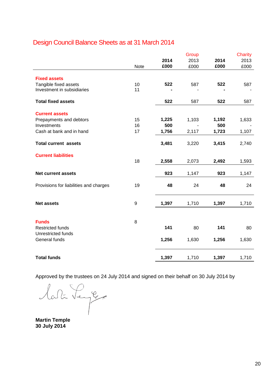### <span id="page-19-0"></span>Design Council Balance Sheets as at 31 March 2014

|                                            |             |       | Group |       | <b>Charity</b> |
|--------------------------------------------|-------------|-------|-------|-------|----------------|
|                                            |             | 2014  | 2013  | 2014  | 2013           |
|                                            | <b>Note</b> | £000  | £000  | £000  | £000           |
|                                            |             |       |       |       |                |
| <b>Fixed assets</b>                        |             |       |       |       |                |
| Tangible fixed assets                      | 10          | 522   | 587   | 522   | 587            |
| Investment in subsidiaries                 | 11          |       |       |       |                |
| <b>Total fixed assets</b>                  |             | 522   | 587   | 522   | 587            |
| <b>Current assets</b>                      |             |       |       |       |                |
| Prepayments and debtors                    | 15          | 1,225 | 1,103 | 1,192 | 1,633          |
| Investments                                | 16          | 500   |       | 500   |                |
| Cash at bank and in hand                   | 17          | 1,756 | 2,117 | 1,723 | 1,107          |
| <b>Total current assets</b>                |             | 3,481 | 3,220 | 3,415 | 2,740          |
| <b>Current liabilities</b>                 |             |       |       |       |                |
|                                            | 18          | 2,558 | 2,073 | 2,492 | 1,593          |
| <b>Net current assets</b>                  |             | 923   | 1,147 | 923   | 1,147          |
| Provisions for liabilities and charges     | 19          | 48    | 24    | 48    | 24             |
|                                            |             |       |       |       |                |
| <b>Net assets</b>                          | 9           | 1,397 | 1,710 | 1,397 | 1,710          |
|                                            |             |       |       |       |                |
| <b>Funds</b>                               | 8           |       |       |       |                |
| <b>Restricted funds</b>                    |             | 141   | 80    | 141   | 80             |
| <b>Unrestricted funds</b><br>General funds |             | 1,256 | 1,630 | 1,256 | 1,630          |
|                                            |             |       |       |       |                |
| <b>Total funds</b>                         |             | 1,397 | 1,710 | 1,397 | 1,710          |

Approved by the trustees on 24 July 2014 and signed on their behalf on 30 July 2014 by

lati Legge

<span id="page-19-1"></span>**Martin Temple 30 July 2014**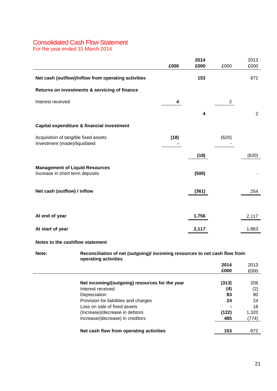### Consolidated Cash Flow Statement

For the year ended 31 March 2014

|                              |                                                                            | £000 | 2014<br>£000 | £000           | 2013<br>£000   |
|------------------------------|----------------------------------------------------------------------------|------|--------------|----------------|----------------|
|                              | Net cash (outflow)/inflow from operating activities                        |      | 153          |                | 872            |
|                              | Returns on investments & servicing of finance                              |      |              |                |                |
| Interest received            |                                                                            | 4    |              | $\overline{2}$ |                |
|                              |                                                                            |      | 4            |                | $\overline{2}$ |
|                              | Capital expenditure & financial investment                                 |      |              |                |                |
| Investment (made)/liquidated | Acquisition of tangible fixed assets                                       | (18) |              | (620)          |                |
|                              |                                                                            |      | (18)         |                | (620)          |
|                              |                                                                            |      |              |                |                |
|                              | <b>Management of Liquid Resources</b><br>Increase in short term deposits   |      | (500)        |                |                |
|                              |                                                                            |      |              |                |                |
| Net cash (outflow) / inflow  |                                                                            |      | (361)        |                | 254            |
|                              |                                                                            |      |              |                |                |
| At end of year               |                                                                            |      | 1,756        |                | 2,117          |
| At start of year             |                                                                            |      | 2,117        |                | 1,863          |
|                              | Notes to the cashflow statement                                            |      |              |                |                |
| Note:                        | Reconciliation of net (outgoing)/ incoming resources to net cash flow from |      |              |                |                |
|                              | operating activities                                                       |      |              | 2014           | 2013           |
|                              |                                                                            |      |              | £000           | £000           |
|                              |                                                                            |      |              |                |                |
|                              | Net incoming/(outgoing) resources for the year<br>Interest received        |      |              | (313)<br>(4)   | 206<br>(2)     |
|                              | Depreciation                                                               |      |              | 83             | 80             |
|                              | Provision for liabilities and charges                                      |      |              | 24             | 24             |
|                              | Loss on sale of fixed assets                                               |      |              |                | 18             |
|                              | (Increase)/decrease in debtors                                             |      |              | (122)          | 1,320          |
|                              | Increase/(decrease) in creditors                                           |      |              | 485            | (774)          |
|                              | Net cash flow from operating activities                                    |      |              | 153            | 872            |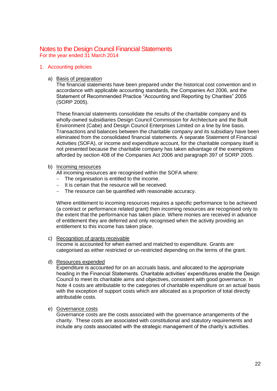### <span id="page-21-0"></span>Notes to the Design Council Financial Statements For the year ended 31 March 2014

### 1. Accounting policies

### a) Basis of preparation

The financial statements have been prepared under the historical cost convention and in accordance with applicable accounting standards, the Companies Act 2006, and the Statement of Recommended Practice "Accounting and Reporting by Charities" 2005 (SORP 2005).

These financial statements consolidate the results of the charitable company and its wholly-owned subsidiaries Design Council Commission for Architecture and the Built Environment (Cabe) and Design Council Enterprises Limited on a line by line basis. Transactions and balances between the charitable company and its subsidiary have been eliminated from the consolidated financial statements. A separate Statement of Financial Activities (SOFA), or income and expenditure account, for the charitable company itself is not presented because the charitable company has taken advantage of the exemptions afforded by section 408 of the Companies Act 2006 and paragraph 397 of SORP 2005.

### b) Incoming resources

All incoming resources are recognised within the SOFA where:

- The organisation is entitled to the income.
- $-$  It is certain that the resource will be received.
- The resource can be quantified with reasonable accuracy.

Where entitlement to incoming resources requires a specific performance to be achieved (a contract or performance related grant) then incoming resources are recognised only to the extent that the performance has taken place. Where monies are received in advance of entitlement they are deferred and only recognised when the activity providing an entitlement to this income has taken place.

### c) Recognition of grants receivable

Income is accounted for when earned and matched to expenditure. Grants are categorised as either restricted or un-restricted depending on the terms of the grant.

### d) Resources expended

Expenditure is accounted for on an accruals basis, and allocated to the appropriate heading in the Financial Statements. Charitable activities' expenditures enable the Design Council to meet its charitable aims and objectives, consistent with good governance. In Note 4 costs are attributable to the categories of charitable expenditure on an actual basis with the exception of support costs which are allocated as a proportion of total directly attributable costs.

### e) Governance costs

Governance costs are the costs associated with the governance arrangements of the charity. These costs are associated with constitutional and statutory requirements and include any costs associated with the strategic management of the charity's activities.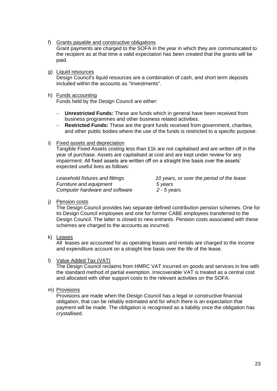f) Grants payable and constructive obligations

Grant payments are charged to the SOFA in the year in which they are communicated to the recipient as at that time a valid expectation has been created that the grants will be paid.

g) Liquid resources

Design Council's liquid resources are a combination of cash, and short term deposits included within the accounts as "Investments".

### h) Funds accounting

Funds held by the Design Council are either:

- **Unrestricted Funds:** These are funds which in general have been received from business programmes and other business related activities.
- **Restricted Funds:** These are the grant funds received from government, charities, and other public bodies where the use of the funds is restricted to a specific purpose.

### i) Fixed assets and depreciation

Tangible Fixed Assets costing less than £1k are not capitalised and are written off in the year of purchase. Assets are capitalised at cost and are kept under review for any impairment. All fixed assets are written off on a straight line basis over the assets' expected useful lives as follows:

*Furniture and equipment 5 years Computer hardware and software 2 - 5 years*

*Leasehold fixtures and fittings 10 years, or over the period of the lease* 

j) Pension costs

The Design Council provides two separate defined contribution pension schemes. One for its Design Council employees and one for former CABE employees transferred to the Design Council. The latter is closed to new entrants. Pension costs associated with these schemes are charged to the accounts as incurred.

k) Leases

All leases are accounted for as operating leases and rentals are charged to the income and expenditure account on a straight line basis over the life of the lease.

l) Value Added Tax (VAT)

The Design Council reclaims from HMRC VAT incurred on goods and services in line with the standard method of partial exemption. Irrecoverable VAT is treated as a central cost and allocated with other support costs to the relevant activities on the SOFA.

m) Provisions

Provisions are made when the Design Council has a legal or constructive financial obligation, that can be reliably estimated and for which there is an expectation that payment will be made. The obligation is recognised as a liability once the obligation has crystallised.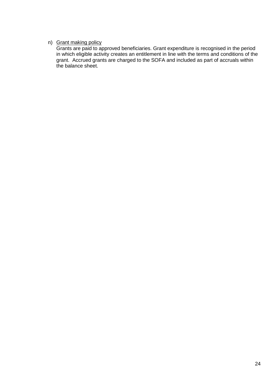### n) Grant making policy

Grants are paid to approved beneficiaries. Grant expenditure is recognised in the period in which eligible activity creates an entitlement in line with the terms and conditions of the grant. Accrued grants are charged to the SOFA and included as part of accruals within the balance sheet.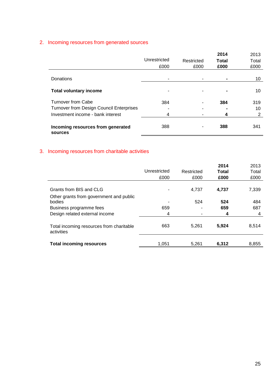### 2. Incoming resources from generated sources

|                                                                                                                   | Unrestricted<br>£000 | Restricted<br>£000 | 2014<br>Total<br>£000 | 2013<br>Total<br>£000 |
|-------------------------------------------------------------------------------------------------------------------|----------------------|--------------------|-----------------------|-----------------------|
| Donations                                                                                                         |                      |                    |                       | 10                    |
| <b>Total voluntary income</b>                                                                                     |                      |                    |                       | 10                    |
| <b>Turnover from Cabe</b><br><b>Turnover from Design Council Enterprises</b><br>Investment income - bank interest | 384<br>4             |                    | 384<br>4              | 319<br>10<br>2        |
| Incoming resources from generated<br>sources                                                                      | 388                  |                    | 388                   | 341                   |

### 3. Incoming resources from charitable activities

|                                                        |              |            | 2014  | 2013  |
|--------------------------------------------------------|--------------|------------|-------|-------|
|                                                        | Unrestricted | Restricted | Total | Total |
|                                                        | £000         | £000       | £000  | £000  |
|                                                        |              |            |       |       |
| Grants from BIS and CLG                                |              | 4,737      | 4,737 | 7,339 |
| Other grants from government and public                |              |            |       |       |
| bodies                                                 |              | 524        | 524   | 484   |
| Business programme fees                                | 659          |            | 659   | 687   |
| Design related external income                         | 4            |            | 4     | 4     |
|                                                        |              |            |       |       |
| Total incoming resources from charitable<br>activities | 663          | 5,261      | 5,924 | 8,514 |
|                                                        |              |            |       |       |
| <b>Total incoming resources</b>                        | 1,051        | 5,261      | 6,312 | 8,855 |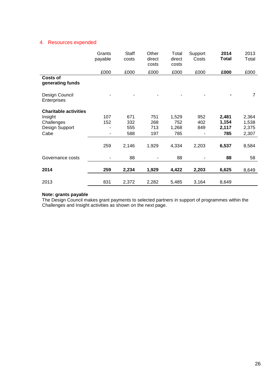### 4. Resources expended

|                                     | Grants<br>payable        | <b>Staff</b><br>costs | Other<br>direct<br>costs | Total<br>direct<br>costs | Support<br>Costs | 2014<br>Total | 2013<br>Total  |
|-------------------------------------|--------------------------|-----------------------|--------------------------|--------------------------|------------------|---------------|----------------|
|                                     | £000                     | £000                  | £000                     | £000                     | £000             | £000          | £000           |
| <b>Costs of</b><br>generating funds |                          |                       |                          |                          |                  |               |                |
| Design Council<br>Enterprises       |                          |                       |                          |                          |                  |               | $\overline{7}$ |
| <b>Charitable activities</b>        |                          |                       |                          |                          |                  |               |                |
| Insight                             | 107                      | 671                   | 751                      | 1,529                    | 952              | 2,481         | 2,364          |
| Challenges                          | 152                      | 332                   | 268                      | 752                      | 402              | 1,154         | 1,538          |
| Design Support                      | ٠                        | 555                   | 713                      | 1,268                    | 849              | 2,117         | 2,375          |
| Cabe                                | $\blacksquare$           | 588                   | 197                      | 785                      |                  | 785           | 2,307          |
|                                     | 259                      | 2,146                 | 1,929                    | 4,334                    | 2,203            | 6,537         | 8,584          |
| Governance costs                    | $\overline{\phantom{a}}$ | 88                    |                          | 88                       |                  | 88            | 58             |
| 2014                                | 259                      | 2,234                 | 1,929                    | 4,422                    | 2,203            | 6,625         | 8,649          |
| 2013                                | 831                      | 2,372                 | 2,282                    | 5,485                    | 3,164            | 8,649         |                |

### **Note: grants payable**

The Design Council makes grant payments to selected partners in support of programmes within the Challenges and Insight activities as shown on the next page.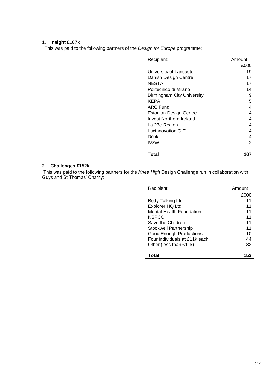### **1. Insight £107k**

This was paid to the following partners of the *Design for Europe* programme:

| Recipient:                        | Amount<br>£000 |
|-----------------------------------|----------------|
| University of Lancaster           | 19             |
| Danish Design Centre              | 17             |
| NESTA                             | 17             |
| Politecnico di Milano             | 14             |
| <b>Birmingham City University</b> | 9              |
| KEPA                              | 5              |
| ARC Fund                          | 4              |
| Estonian Design Centre            | 4              |
| Invest Northern Ireland           | 4              |
| La 27e Région                     | 4              |
| <b>Luxinnovation GIE</b>          | 4              |
| Dšola                             | 4              |
| <b>IVZW</b>                       | 2              |
|                                   |                |
| Total                             | 107            |

### **2. Challenges £152k**

This was paid to the following partners for the *Knee High* Design Challenge run in collaboration with Guys and St Thomas' Charity:

| Recipient:                      | Amount |
|---------------------------------|--------|
|                                 | £000   |
| <b>Body Talking Ltd</b>         | 11     |
| Explorer HQ Ltd                 | 11     |
| <b>Mental Health Foundation</b> | 11     |
| <b>NSPCC</b>                    | 11     |
| Save the Children               | 11     |
| Stockwell Partnership           | 11     |
| <b>Good Enough Productions</b>  | 10     |
| Four individuals at £11k each   | 44     |
| Other (less than £11k)          | 32     |
|                                 |        |
| Total                           | 152    |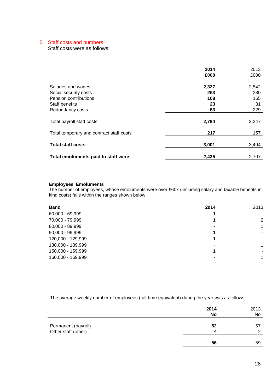### 5. Staff costs and numbers

Staff costs were as follows:

|                                          | 2014  | 2013  |
|------------------------------------------|-------|-------|
|                                          | £000  | £000  |
| Salaries and wages                       | 2,327 | 2,542 |
| Social security costs                    | 263   | 280   |
| Pension contributions                    | 108   | 165   |
| Staff benefits                           | 23    | 31    |
| Redundancy costs                         | 63    | 229   |
|                                          |       |       |
| Total payroll staff costs                | 2,784 | 3,247 |
| Total temporary and contract staff costs | 217   | 157   |
|                                          |       |       |
| <b>Total staff costs</b>                 | 3,001 | 3,404 |
| Total emoluments paid to staff were:     | 2,435 | 2,707 |
|                                          |       |       |

#### **Employees' Emoluments**

The number of employees, whose emoluments were over £60k (including salary and taxable benefits in kind costs) falls within the ranges shown below:

| <b>Band</b>       | 2014           | 2013 |
|-------------------|----------------|------|
| 60,000 - 69,999   |                |      |
| 70,000 - 79,999   |                | 2    |
| 80,000 - 89,999   | $\blacksquare$ |      |
| $90,000 - 99,999$ |                | -    |
| 120,000 - 129,999 |                |      |
| 130,000 - 139,999 |                |      |
| 150,000 - 159,999 |                |      |
| 160,000 - 169,999 | $\blacksquare$ |      |
|                   |                |      |

The average weekly number of employees (full-time equivalent) during the year was as follows:

|                                            | 2014<br><b>No</b> | 2013<br><b>No</b> |
|--------------------------------------------|-------------------|-------------------|
| Permanent (payroll)<br>Other staff (other) | 52                | 57                |
|                                            | 56                | 59                |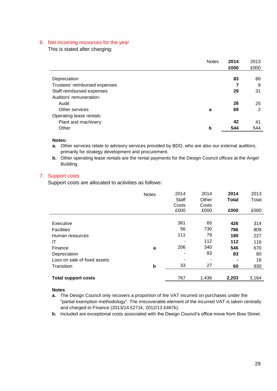#### 6. Net incoming resources for the year

This is stated after charging:

|                               | <b>Notes</b> | 2014 | 2013 |
|-------------------------------|--------------|------|------|
|                               |              | £000 | £000 |
|                               |              |      |      |
| Depreciation                  |              | 83   | 80   |
| Trustees' reimbursed expenses |              | 7    | 8    |
| Staff reimbursed expenses     |              | 29   | 31   |
| Auditors' remuneration:       |              |      |      |
| Audit                         |              | 26   | 25   |
| Other services                | a            | 69   | 2    |
| Operating lease rentals:      |              |      |      |
| Plant and machinery           |              | 42   | 41   |
| Other                         | b            | 544  | 544  |
|                               |              |      |      |

**Notes:** 

- **a.** Other services relate to advisory services provided by BDO, who are also our external auditors, primarily for strategy development and procurement.
- **b.** Other operating lease rentals are the rental payments for the Design Council offices at the Angel Building.

### 7. Support costs

Support costs are allocated to activities as follows:

|                                                         | <b>Notes</b> | 2014<br>Staff<br>Costs | 2014<br>Other<br>Costs | 2014<br><b>Total</b>     | 2013<br>Total            |
|---------------------------------------------------------|--------------|------------------------|------------------------|--------------------------|--------------------------|
|                                                         |              | £000                   | £000                   | £000                     | £000                     |
| Executive<br><b>Facilities</b><br>Human resources<br>ΙT |              | 361<br>56<br>111       | 65<br>730<br>79<br>112 | 426<br>786<br>190<br>112 | 314<br>809<br>227<br>116 |
| Finance                                                 | a            | 206                    | 340                    | 546                      | 670                      |
| Depreciation                                            |              | ۰                      | 83                     | 83                       | 80                       |
| Loss on sale of fixed assets                            |              |                        |                        |                          | 18                       |
| Transition                                              | $\mathbf b$  | 33                     | 27                     | 60                       | 930                      |
| <b>Total support costs</b>                              |              | 767                    | 1,436                  | 2,203                    | 3,164                    |

#### **Notes**

- **a.** The Design Council only recovers a proportion of the VAT incurred on purchases under the "partial exemption methodology". The irrecoverable element of the incurred VAT is taken centrally and charged to Finance (2013/14 £271k, 2012/13 £467k).
- **b.** Included are exceptional costs associated with the Design Council's office move from Bow Street.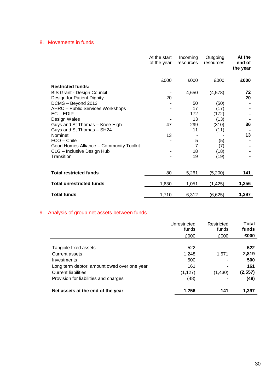### 8. Movements in funds

|                                         | At the start<br>of the year | Incoming<br>resources | Outgoing<br>resources | At the<br>end of<br>the year |
|-----------------------------------------|-----------------------------|-----------------------|-----------------------|------------------------------|
|                                         | £000                        | £000                  | £000                  | £000                         |
| <b>Restricted funds:</b>                |                             |                       |                       |                              |
| <b>BIS Grant - Design Council</b>       |                             | 4,650                 | (4, 578)              | 72                           |
| Design for Patient Dignity              | 20                          |                       |                       | 20                           |
| DCMS - Beyond 2012                      |                             | 50                    | (50)                  |                              |
| <b>AHRC - Public Services Workshops</b> |                             | 17                    | (17)                  |                              |
| $EC - EDIP$                             |                             | 172                   | (172)                 |                              |
| Design Wales                            |                             | 13                    | (13)                  |                              |
| Guys and St Thomas - Knee High          | 47                          | 299                   | (310)                 | 36                           |
| Guys and St Thomas - SH24               |                             | 11                    | (11)                  |                              |
| Nominet                                 | 13                          |                       |                       | 13                           |
| FCO - Chile                             |                             | 5                     | (5)                   |                              |
| Good Homes Alliance - Community Toolkit |                             | $\overline{7}$        | (7)                   |                              |
| CLG - Inclusive Design Hub              |                             | 18                    | (18)                  |                              |
| Transition                              |                             | 19                    | (19)                  |                              |
| <b>Total restricted funds</b>           | 80                          | 5,261                 | (5,200)               | 141                          |
| <b>Total unrestricted funds</b>         | 1,630                       | 1,051                 | (1, 425)              | 1,256                        |
| <b>Total funds</b>                      | 1,710                       | 6,312                 | (6, 625)              | 1,397                        |

### 9. Analysis of group net assets between funds

|                                             | Unrestricted<br>funds | Restricted<br>funds | Total<br>funds |
|---------------------------------------------|-----------------------|---------------------|----------------|
|                                             | £000                  | £000                | £000           |
| Tangible fixed assets                       | 522                   |                     | 522            |
| <b>Current assets</b>                       | 1,248                 | 1,571               | 2,819          |
| Investments                                 | 500                   |                     | 500            |
| Long term debtor: amount owed over one year | 161                   |                     | 161            |
| <b>Current liabilities</b>                  | (1, 127)              | (1,430)             | (2, 557)       |
| Provision for liabilities and charges       | (48)                  |                     | (48)           |
| Net assets at the end of the year           | 1,256                 | 141                 | 1,397          |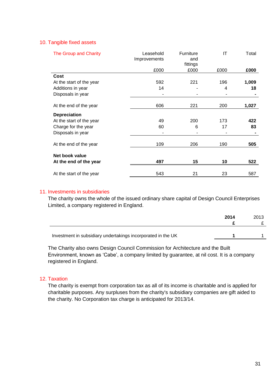### 10. Tangible fixed assets

| The Group and Charity    | Leasehold<br>Improvements | Furniture<br>and<br>fittings | IT   | Total |
|--------------------------|---------------------------|------------------------------|------|-------|
|                          | £000                      | £000                         | £000 | £000  |
| Cost                     |                           |                              |      |       |
| At the start of the year | 592                       | 221                          | 196  | 1,009 |
| Additions in year        | 14                        |                              | 4    | 18    |
| Disposals in year        |                           |                              |      |       |
|                          |                           |                              |      |       |
| At the end of the year   | 606                       | 221                          | 200  | 1,027 |
| <b>Depreciation</b>      |                           |                              |      |       |
| At the start of the year | 49                        | 200                          | 173  | 422   |
| Charge for the year      | 60                        | 6                            | 17   | 83    |
| Disposals in year        |                           |                              |      |       |
| At the end of the year   | 109                       | 206                          | 190  | 505   |
|                          |                           |                              |      |       |
| Net book value           |                           |                              |      |       |
| At the end of the year   | 497                       | 15                           | 10   | 522   |
| At the start of the year | 543                       | 21                           | 23   | 587   |

### 11. Investments in subsidiaries

The charity owns the whole of the issued ordinary share capital of Design Council Enterprises Limited, a company registered in England.

|                                                              | 2014 | 2013 |
|--------------------------------------------------------------|------|------|
| Investment in subsidiary undertakings incorporated in the UK |      |      |

The Charity also owns Design Council Commission for Architecture and the Built Environment, known as 'Cabe', a company limited by guarantee, at nil cost. It is a company registered in England.

### 12. Taxation

The charity is exempt from corporation tax as all of its income is charitable and is applied for charitable purposes. Any surpluses from the charity's subsidiary companies are gift aided to the charity. No Corporation tax charge is anticipated for 2013/14.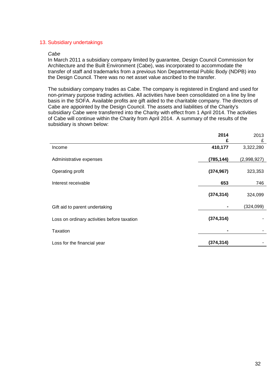### 13. Subsidiary undertakings

#### *Cabe*

In March 2011 a subsidiary company limited by guarantee, Design Council Commission for Architecture and the Built Environment (Cabe), was incorporated to accommodate the transfer of staff and trademarks from a previous Non Departmental Public Body (NDPB) into the Design Council. There was no net asset value ascribed to the transfer.

The subsidiary company trades as Cabe. The company is registered in England and used for non-primary purpose trading activities. All activities have been consolidated on a line by line basis in the SOFA. Available profits are gift aided to the charitable company. The directors of Cabe are appointed by the Design Council. The assets and liabilities of the Charity's subsidiary Cabe were transferred into the Charity with effect from 1 April 2014. The activities of Cabe will continue within the Charity from April 2014. A summary of the results of the subsidiary is shown below:

|                                             | 2014<br>£  | 2013<br>£   |
|---------------------------------------------|------------|-------------|
| Income                                      | 410,177    | 3,322,280   |
| Administrative expenses                     | (785, 144) | (2,998,927) |
| Operating profit                            | (374, 967) | 323,353     |
| Interest receivable                         | 653        | 746         |
|                                             | (374, 314) | 324,099     |
| Gift aid to parent undertaking              |            | (324,099)   |
| Loss on ordinary activities before taxation | (374, 314) |             |
| Taxation                                    |            |             |
| Loss for the financial year                 | (374, 314) |             |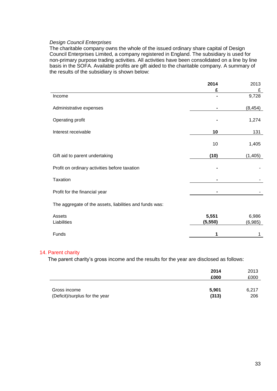### *Design Council Enterprises*

The charitable company owns the whole of the issued ordinary share capital of Design Council Enterprises Limited, a company registered in England. The subsidiary is used for non-primary purpose trading activities. All activities have been consolidated on a line by line basis in the SOFA. Available profits are gift aided to the charitable company. A summary of the results of the subsidiary is shown below:

|                                                         | 2014     | 2013     |
|---------------------------------------------------------|----------|----------|
|                                                         | £        | £        |
| Income                                                  |          | 9,728    |
| Administrative expenses                                 |          | (8, 454) |
| Operating profit                                        |          | 1,274    |
| Interest receivable                                     | 10       | 131      |
|                                                         | 10       | 1,405    |
| Gift aid to parent undertaking                          | (10)     | (1, 405) |
| Profit on ordinary activities before taxation           |          |          |
| Taxation                                                |          |          |
| Profit for the financial year                           |          |          |
| The aggregate of the assets, liabilities and funds was: |          |          |
| Assets                                                  | 5,551    | 6,986    |
| Liabilities                                             | (5, 550) | (6,985)  |
| Funds                                                   | 1        | 1        |
|                                                         |          |          |

### 14. Parent charity

The parent charity's gross income and the results for the year are disclosed as follows:

|                                | 2014  | 2013  |
|--------------------------------|-------|-------|
|                                | £000  | £000  |
|                                |       |       |
| Gross income                   | 5,901 | 6,217 |
| (Deficit)/surplus for the year | (313) | 206   |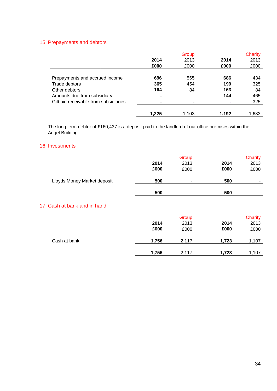### 15. Prepayments and debtors

|                                       |       | Group                    |       | Charity |
|---------------------------------------|-------|--------------------------|-------|---------|
|                                       | 2014  | 2013                     | 2014  | 2013    |
|                                       | £000  | £000                     | £000  | £000    |
|                                       |       |                          |       |         |
| Prepayments and accrued income        | 696   | 565                      | 686   | 434     |
| Trade debtors                         | 365   | 454                      | 199   | 325     |
| Other debtors                         | 164   | 84                       | 163   | 84      |
| Amounts due from subsidiary           | -     | $\overline{\phantom{a}}$ | 144   | 465     |
| Gift aid receivable from subsidiaries | -     | $\blacksquare$           |       | 325     |
|                                       |       |                          |       |         |
|                                       | 1,225 | 1,103                    | 1,192 | 1,633   |

The long term debtor of £160,437 is a deposit paid to the landlord of our office premises within the Angel Building.

### 16. Investments

|                              |      | Group |      | Charity |
|------------------------------|------|-------|------|---------|
|                              | 2014 | 2013  | 2014 | 2013    |
|                              | £000 | £000  | £000 | £000    |
| Lloyds Money Market deposit  | 500  | ٠     | 500  | ۰       |
|                              | 500  | ٠     | 500  |         |
| 17. Cash at bank and in hand |      |       |      |         |
|                              |      | Group |      | Charity |
|                              | 2014 | 2013  | 2014 | 2013    |
|                              | £000 | £000  | £000 | £000    |

Cash at bank **1,756** 2,117 **1,723** 1,107

**1,756** 2,117 **1,723** 1,107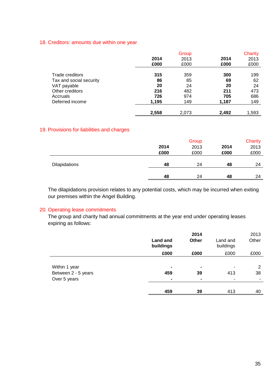### 18. Creditors: amounts due within one year

|                         | Group |       |       | Charity |
|-------------------------|-------|-------|-------|---------|
|                         | 2014  | 2013  | 2014  | 2013    |
|                         | £000  | £000  | £000  | £000    |
|                         |       |       |       |         |
| Trade creditors         | 315   | 359   | 300   | 199     |
| Tax and social security | 86    | 85    | 69    | 62      |
| VAT payable             | 20    | 24    | 20    | 24      |
| Other creditors         | 216   | 482   | 211   | 473     |
| Accruals                | 726   | 974   | 705   | 686     |
| Deferred income         | 1,195 | 149   | 1,187 | 149     |
|                         |       |       |       |         |
|                         | 2,558 | 2,073 | 2,492 | 1,593   |

### 19. Provisions for liabilities and charges

|                      |      | Group |      | Charity |
|----------------------|------|-------|------|---------|
|                      | 2014 | 2013  | 2014 | 2013    |
|                      | £000 | £000  | £000 | £000    |
|                      |      |       |      |         |
| <b>Dilapidations</b> | 48   | 24    | 48   | 24      |
|                      |      |       |      |         |
|                      | 48   | 24    | 48   | 24      |

The dilapidations provision relates to any potential costs, which may be incurred when exiting our premises within the Angel Building.

### 20. Operating lease commitments

The group and charity had annual commitments at the year end under operating leases expiring as follows:

|                     |                              | 2014           |                       | 2013  |
|---------------------|------------------------------|----------------|-----------------------|-------|
|                     | <b>Land and</b><br>buildings | Other          | Land and<br>buildings | Other |
|                     | £000                         | £000           | £000                  | £000  |
|                     |                              |                |                       |       |
| Within 1 year       | $\blacksquare$               | $\blacksquare$ |                       | 2     |
| Between 2 - 5 years | 459                          | 39             | 413                   | 38    |
| Over 5 years        | $\blacksquare$               | ٠              |                       |       |
|                     |                              |                |                       |       |
|                     | 459                          | 39             | 413                   | 40    |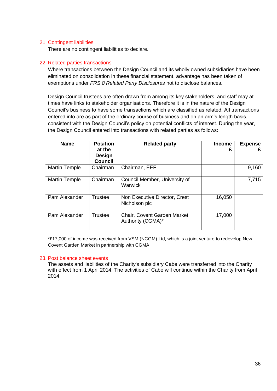### 21. Contingent liabilities

There are no contingent liabilities to declare.

### 22. Related parties transactions

Where transactions between the Design Council and its wholly owned subsidiaries have been eliminated on consolidation in these financial statement, advantage has been taken of exemptions under *FRS 8 Related Party Disclosures* not to disclose balances.

Design Council trustees are often drawn from among its key stakeholders, and staff may at times have links to stakeholder organisations. Therefore it is in the nature of the Design Council's business to have some transactions which are classified as related. All transactions entered into are as part of the ordinary course of business and on an arm's length basis, consistent with the Design Council's policy on potential conflicts of interest. During the year, the Design Council entered into transactions with related parties as follows:

| <b>Name</b>          | <b>Position</b><br>at the<br>Design<br><b>Council</b> | <b>Related party</b>                                    | <b>Income</b><br>£ | <b>Expense</b><br>£ |
|----------------------|-------------------------------------------------------|---------------------------------------------------------|--------------------|---------------------|
| <b>Martin Temple</b> | Chairman                                              | Chairman, EEF                                           |                    | 9,160               |
| <b>Martin Temple</b> | Chairman                                              | Council Member, University of<br>Warwick                |                    | 7,715               |
| Pam Alexander        | <b>Trustee</b>                                        | Non Executive Director, Crest<br>Nicholson plc          | 16,050             |                     |
| Pam Alexander        | <b>Trustee</b>                                        | <b>Chair, Covent Garden Market</b><br>Authority (CGMA)* | 17,000             |                     |

\*£17,000 of income was received from VSM (NCGM) Ltd, which is a joint venture to redevelop New Covent Garden Market in partnership with CGMA.

### 23. Post balance sheet events

The assets and liabilities of the Charity's subsidiary Cabe were transferred into the Charity with effect from 1 April 2014. The activities of Cabe will continue within the Charity from April 2014.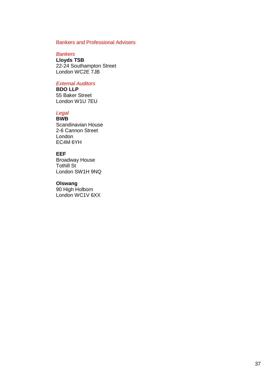### Bankers and Professional Advisers

### *Bankers*

**Lloyds TSB**  22-24 Southampton Street London WC2E 7JB

### *External Auditors*

**BDO LLP** 55 Baker Street London W1U 7EU

#### *Legal*

**BWB**  Scandinavian House 2-6 Cannon Street London EC4M 6YH

### **EEF**

Broadway House Tothill St London SW1H 9NQ

### **Olswang**

90 High Holborn London WC1V 6XX